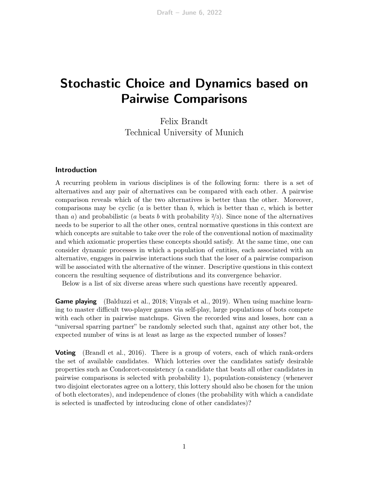# Stochastic Choice and Dynamics based on Pairwise Comparisons

Felix Brandt Technical University of Munich

## Introduction

A recurring problem in various disciplines is of the following form: there is a set of alternatives and any pair of alternatives can be compared with each other. A pairwise comparison reveals which of the two alternatives is better than the other. Moreover, comparisons may be cyclic ( $a$  is better than  $b$ , which is better than  $c$ , which is better than a) and probabilistic (a beats b with probability  $\frac{2}{3}$ ). Since none of the alternatives needs to be superior to all the other ones, central normative questions in this context are which concepts are suitable to take over the role of the conventional notion of maximality and which axiomatic properties these concepts should satisfy. At the same time, one can consider dynamic processes in which a population of entities, each associated with an alternative, engages in pairwise interactions such that the loser of a pairwise comparison will be associated with the alternative of the winner. Descriptive questions in this context concern the resulting sequence of distributions and its convergence behavior.

Below is a list of six diverse areas where such questions have recently appeared.

**Game playing** [\(Balduzzi et al., 2018;](#page-6-0) [Vinyals et al., 2019\)](#page-8-0). When using machine learning to master difficult two-player games via self-play, large populations of bots compete with each other in pairwise matchups. Given the recorded wins and losses, how can a "universal sparring partner" be randomly selected such that, against any other bot, the expected number of wins is at least as large as the expected number of losses?

**Voting** [\(Brandl et al., 2016\)](#page-7-0). There is a group of voters, each of which rank-orders the set of available candidates. Which lotteries over the candidates satisfy desirable properties such as Condorcet-consistency (a candidate that beats all other candidates in pairwise comparisons is selected with probability 1), population-consistency (whenever two disjoint electorates agree on a lottery, this lottery should also be chosen for the union of both electorates), and independence of clones (the probability with which a candidate is selected is unaffected by introducing clone of other candidates)?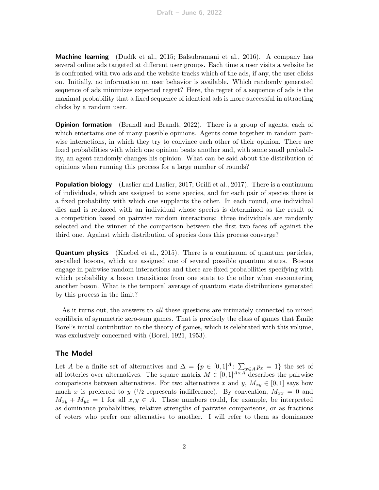**Machine learning** [\(Dudík et al., 2015;](#page-7-1) [Balsubramani et al., 2016\)](#page-6-1). A company has several online ads targeted at different user groups. Each time a user visits a website he is confronted with two ads and the website tracks which of the ads, if any, the user clicks on. Initially, no information on user behavior is available. Which randomly generated sequence of ads minimizes expected regret? Here, the regret of a sequence of ads is the maximal probability that a fixed sequence of identical ads is more successful in attracting clicks by a random user.

**Opinion formation** [\(Brandl and Brandt, 2022\)](#page-7-2). There is a group of agents, each of which entertains one of many possible opinions. Agents come together in random pairwise interactions, in which they try to convince each other of their opinion. There are fixed probabilities with which one opinion beats another and, with some small probability, an agent randomly changes his opinion. What can be said about the distribution of opinions when running this process for a large number of rounds?

**Population biology** [\(Laslier and Laslier, 2017;](#page-8-1) [Grilli et al., 2017\)](#page-7-3). There is a continuum of individuals, which are assigned to some species, and for each pair of species there is a fixed probability with which one supplants the other. In each round, one individual dies and is replaced with an individual whose species is determined as the result of a competition based on pairwise random interactions: three individuals are randomly selected and the winner of the comparison between the first two faces off against the third one. Against which distribution of species does this process converge?

**Quantum physics** [\(Knebel et al., 2015\)](#page-8-2). There is a continuum of quantum particles, so-called bosons, which are assigned one of several possible quantum states. Bosons engage in pairwise random interactions and there are fixed probabilities specifying with which probability a boson transitions from one state to the other when encountering another boson. What is the temporal average of quantum state distributions generated by this process in the limit?

As it turns out, the answers to *all* these questions are intimately connected to mixed equilibria of symmetric zero-sum games. That is precisely the class of games that Émile Borel's initial contribution to the theory of games, which is celebrated with this volume, was exclusively concerned with [\(Borel, 1921,](#page-6-2) [1953\)](#page-6-3).

#### The Model

Let A be a finite set of alternatives and  $\Delta = \{p \in [0,1]^A : \sum_{x \in A} p_x = 1\}$  the set of all lotteries over alternatives. The square matrix  $M \in [0,1]^{A \times A}$  describes the pairwise comparisons between alternatives. For two alternatives x and y,  $M_{xy} \in [0, 1]$  says how much x is preferred to y  $\left(\frac{1}{2}\right)$  represents indifference). By convention,  $M_{xx} = 0$  and  $M_{xy} + M_{yx} = 1$  for all  $x, y \in A$ . These numbers could, for example, be interpreted as dominance probabilities, relative strengths of pairwise comparisons, or as fractions of voters who prefer one alternative to another. I will refer to them as dominance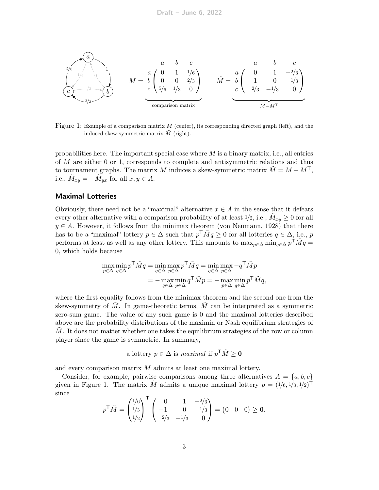

<span id="page-2-0"></span>Figure 1: Example of a comparison matrix  $M$  (center), its corresponding directed graph (left), and the induced skew-symmetric matrix  $\tilde{M}$  (right).

probabilities here. The important special case where  $M$  is a binary matrix, i.e., all entries of M are either 0 or 1, corresponds to complete and antisymmetric relations and thus to tournament graphs. The matrix M induces a skew-symmetric matrix  $\tilde{M} = M - M^{T}$ , i.e.,  $\tilde{M}_{xy} = -\tilde{M}_{yx}$  for all  $x, y \in A$ .

#### Maximal Lotteries

Obviously, there need not be a "maximal" alternative  $x \in A$  in the sense that it defeats every other alternative with a comparison probability of at least  $1/2$ , i.e.,  $\tilde{M}_{xy} \ge 0$  for all  $y \in A$ . However, it follows from the minimax theorem [\(von Neumann, 1928\)](#page-8-3) that there has to be a "maximal" lottery  $p \in \Delta$  such that  $p^{\mathsf{T}} \tilde{M} q \geq 0$  for all lotteries  $q \in \Delta$ , i.e., p performs at least as well as any other lottery. This amounts to  $\max_{p \in \Delta} \min_{q \in \Delta} p^{\mathsf{T}} \tilde{M} q =$ 0, which holds because

$$
\max_{p \in \Delta} \min_{q \in \Delta} p^{\mathsf{T}} \tilde{M}q = \min_{q \in \Delta} \max_{p \in \Delta} p^{\mathsf{T}} \tilde{M}q = \min_{q \in \Delta} \max_{p \in \Delta} -q^{\mathsf{T}} \tilde{M}p
$$

$$
= -\max_{q \in \Delta} \min_{p \in \Delta} q^{\mathsf{T}} \tilde{M}p = -\max_{p \in \Delta} \min_{q \in \Delta} p^{\mathsf{T}} \tilde{M}q,
$$

where the first equality follows from the minimax theorem and the second one from the skew-symmetry of  $\tilde{M}$ . In game-theoretic terms,  $\tilde{M}$  can be interpreted as a symmetric zero-sum game. The value of any such game is 0 and the maximal lotteries described above are the probability distributions of the maximin or Nash equilibrium strategies of  $M$ . It does not matter whether one takes the equilibrium strategies of the row or column player since the game is symmetric. In summary,

a lottery 
$$
p \in \Delta
$$
 is maximal if  $p^T \tilde{M} \geq 0$ 

and every comparison matrix M admits at least one maximal lottery.

Consider, for example, pairwise comparisons among three alternatives  $A = \{a, b, c\}$ given in Figure [1.](#page-2-0) The matrix  $\tilde{M}$  admits a unique maximal lottery  $p = (1/6, 1/3, 1/2)^{\mathsf{T}}$ since

$$
p^{\mathsf{T}}\tilde{M} = \begin{pmatrix} 1/6 \\ 1/3 \\ 1/2 \end{pmatrix}^{\mathsf{T}} \begin{pmatrix} 0 & 1 & -2/3 \\ -1 & 0 & 1/3 \\ 2/3 & -1/3 & 0 \end{pmatrix} = \begin{pmatrix} 0 & 0 & 0 \end{pmatrix} \geq \mathbf{0}.
$$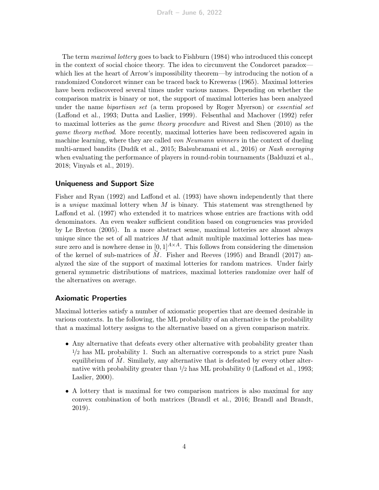The term maximal lottery goes to back to [Fishburn](#page-7-4) [\(1984\)](#page-7-4) who introduced this concept in the context of social choice theory. The idea to circumvent the Condorcet paradox which lies at the heart of Arrow's impossibility theorem—by introducing the notion of a randomized Condorcet winner can be traced back to [Kreweras](#page-8-4) [\(1965\)](#page-8-4). Maximal lotteries have been rediscovered several times under various names. Depending on whether the comparison matrix is binary or not, the support of maximal lotteries has been analyzed under the name *bipartisan set* (a term proposed by Roger Myerson) or *essential set* [\(Laffond et al., 1993;](#page-8-5) [Dutta and Laslier, 1999\)](#page-7-5). [Felsenthal and Machover](#page-7-6) [\(1992\)](#page-7-6) refer to maximal lotteries as the game theory procedure and [Rivest and Shen](#page-8-6) [\(2010\)](#page-8-6) as the *game theory method.* More recently, maximal lotteries have been rediscovered again in machine learning, where they are called von Neumann winners in the context of dueling multi-armed bandits [\(Dudík et al., 2015;](#page-7-1) [Balsubramani et al., 2016\)](#page-6-1) or Nash averaging when evaluating the performance of players in round-robin tournaments [\(Balduzzi et al.,](#page-6-0) [2018;](#page-6-0) [Vinyals et al., 2019\)](#page-8-0).

## Uniqueness and Support Size

[Fisher and Ryan](#page-7-7) [\(1992\)](#page-7-7) and [Laffond et al.](#page-8-5) [\(1993\)](#page-8-5) have shown independently that there is a *unique* maximal lottery when  $M$  is binary. This statement was strengthened by [Laffond et al.](#page-8-7) [\(1997\)](#page-8-7) who extended it to matrices whose entries are fractions with odd denominators. An even weaker sufficient condition based on congruencies was provided by [Le Breton](#page-8-8) [\(2005\)](#page-8-8). In a more abstract sense, maximal lotteries are almost always unique since the set of all matrices  $M$  that admit multiple maximal lotteries has measure zero and is nowhere dense in  $[0, 1]^{A \times A}$ . This follows from considering the dimension of the kernel of sub-matrices of  $\tilde{M}$ . [Fisher and Reeves](#page-7-8) [\(1995\)](#page-7-8) and [Brandl](#page-6-4) [\(2017\)](#page-6-4) analyzed the size of the support of maximal lotteries for random matrices. Under fairly general symmetric distributions of matrices, maximal lotteries randomize over half of the alternatives on average.

## Axiomatic Properties

Maximal lotteries satisfy a number of axiomatic properties that are deemed desirable in various contexts. In the following, the ML probability of an alternative is the probability that a maximal lottery assigns to the alternative based on a given comparison matrix.

- Any alternative that defeats every other alternative with probability greater than  $1/2$  has ML probability 1. Such an alternative corresponds to a strict pure Nash equilibrium of  $M$ . Similarly, any alternative that is defeated by every other alternative with probability greater than 1/2 has ML probability 0 [\(Laffond et al., 1993;](#page-8-5) [Laslier, 2000\)](#page-8-9).
- A lottery that is maximal for two comparison matrices is also maximal for any convex combination of both matrices [\(Brandl et al., 2016;](#page-7-0) [Brandl and Brandt,](#page-6-5) [2019\)](#page-6-5).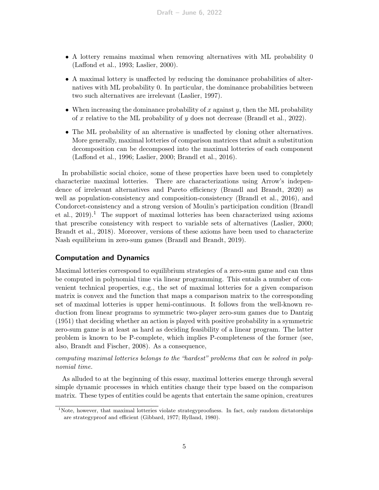- A lottery remains maximal when removing alternatives with ML probability 0 [\(Laffond et al., 1993;](#page-8-5) [Laslier, 2000\)](#page-8-9).
- A maximal lottery is unaffected by reducing the dominance probabilities of alternatives with ML probability 0. In particular, the dominance probabilities between two such alternatives are irrelevant [\(Laslier, 1997\)](#page-8-10).
- When increasing the dominance probability of x against y, then the ML probability of x relative to the ML probability of y does not decrease [\(Brandl et al., 2022\)](#page-7-9).
- The ML probability of an alternative is unaffected by cloning other alternatives. More generally, maximal lotteries of comparison matrices that admit a substitution decomposition can be decomposed into the maximal lotteries of each component [\(Laffond et al., 1996;](#page-8-11) [Laslier, 2000;](#page-8-9) [Brandl et al., 2016\)](#page-7-0).

In probabilistic social choice, some of these properties have been used to completely characterize maximal lotteries. There are characterizations using Arrow's independence of irrelevant alternatives and Pareto efficiency [\(Brandl and Brandt, 2020\)](#page-7-10) as well as population-consistency and composition-consistency [\(Brandl et al., 2016\)](#page-7-0), and Condorcet-consistency and a strong version of Moulin's participation condition [\(Brandl](#page-7-11) [et al., 2019\)](#page-7-11).<sup>[1](#page-4-0)</sup> The support of maximal lotteries has been characterized using axioms that prescribe consistency with respect to variable sets of alternatives [\(Laslier, 2000;](#page-8-9) [Brandt et al., 2018\)](#page-7-12). Moreover, versions of these axioms have been used to characterize Nash equilibrium in zero-sum games [\(Brandl and Brandt, 2019\)](#page-6-5).

## Computation and Dynamics

Maximal lotteries correspond to equilibrium strategies of a zero-sum game and can thus be computed in polynomial time via linear programming. This entails a number of convenient technical properties, e.g., the set of maximal lotteries for a given comparison matrix is convex and the function that maps a comparison matrix to the corresponding set of maximal lotteries is upper hemi-continuous. It follows from the well-known reduction from linear programs to symmetric two-player zero-sum games due to [Dantzig](#page-7-13) [\(1951\)](#page-7-13) that deciding whether an action is played with positive probability in a symmetric zero-sum game is at least as hard as deciding feasibility of a linear program. The latter problem is known to be P-complete, which implies P-completeness of the former (see, also, [Brandt and Fischer, 2008\)](#page-7-14). As a consequence,

computing maximal lotteries belongs to the "hardest" problems that can be solved in polynomial time.

As alluded to at the beginning of this essay, maximal lotteries emerge through several simple dynamic processes in which entities change their type based on the comparison matrix. These types of entities could be agents that entertain the same opinion, creatures

<span id="page-4-0"></span><sup>&</sup>lt;sup>1</sup>Note, however, that maximal lotteries violate strategyproofness. In fact, only random dictatorships are strategyproof and efficient [\(Gibbard, 1977;](#page-7-15) [Hylland, 1980\)](#page-8-12).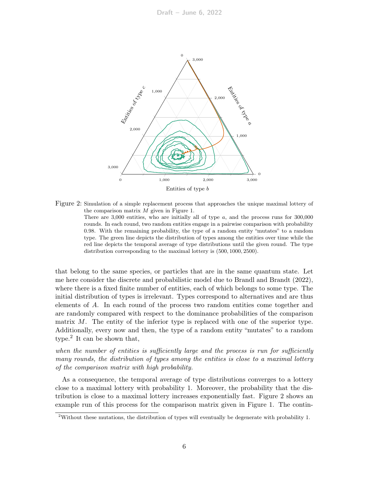

<span id="page-5-1"></span>Figure 2: Simulation of a simple replacement process that approaches the unique maximal lottery of the comparison matrix  $M$  given in Figure [1.](#page-2-0) There are 3,000 entities, who are initially all of type  $a$ , and the process runs for 300,000 rounds. In each round, two random entities engage in a pairwise comparison with probability 0.98. With the remaining probability, the type of a random entity "mutates" to a random type. The green line depicts the distribution of types among the entities over time while the red line depicts the temporal average of type distributions until the given round. The type distribution corresponding to the maximal lottery is (500, 1000, 2500).

that belong to the same species, or particles that are in the same quantum state. Let me here consider the discrete and probabilistic model due to [Brandl and Brandt](#page-7-2) [\(2022\)](#page-7-2), where there is a fixed finite number of entities, each of which belongs to some type. The initial distribution of types is irrelevant. Types correspond to alternatives and are thus elements of A. In each round of the process two random entities come together and are randomly compared with respect to the dominance probabilities of the comparison matrix M. The entity of the inferior type is replaced with one of the superior type. Additionally, every now and then, the type of a random entity "mutates" to a random type.<sup>[2](#page-5-0)</sup> It can be shown that,

when the number of entities is sufficiently large and the process is run for sufficiently many rounds, the distribution of types among the entities is close to a maximal lottery of the comparison matrix with high probability.

As a consequence, the temporal average of type distributions converges to a lottery close to a maximal lottery with probability 1. Moreover, the probability that the distribution is close to a maximal lottery increases exponentially fast. Figure [2](#page-5-1) shows an example run of this process for the comparison matrix given in Figure [1.](#page-2-0) The contin-

<span id="page-5-0"></span><sup>2</sup>Without these mutations, the distribution of types will eventually be degenerate with probability 1.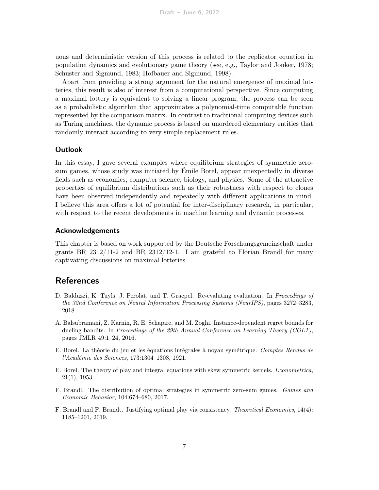uous and deterministic version of this process is related to the replicator equation in population dynamics and evolutionary game theory (see, e.g., [Taylor and Jonker, 1978;](#page-8-13) [Schuster and Sigmund, 1983;](#page-8-14) [Hofbauer and Sigmund, 1998\)](#page-7-16).

Apart from providing a strong argument for the natural emergence of maximal lotteries, this result is also of interest from a computational perspective. Since computing a maximal lottery is equivalent to solving a linear program, the process can be seen as a probabilistic algorithm that approximates a polynomial-time computable function represented by the comparison matrix. In contrast to traditional computing devices such as Turing machines, the dynamic process is based on unordered elementary entities that randomly interact according to very simple replacement rules.

#### **Outlook**

In this essay, I gave several examples where equilibrium strategies of symmetric zerosum games, whose study was initiated by Émile Borel, appear unexpectedly in diverse fields such as economics, computer science, biology, and physics. Some of the attractive properties of equilibrium distributions such as their robustness with respect to clones have been observed independently and repeatedly with different applications in mind. I believe this area offers a lot of potential for inter-disciplinary research, in particular, with respect to the recent developments in machine learning and dynamic processes.

#### Acknowledgements

This chapter is based on work supported by the Deutsche Forschungsgemeinschaft under grants BR  $2312/11-2$  and BR  $2312/12-1$ . I am grateful to Florian Brandl for many captivating discussions on maximal lotteries.

## **References**

- <span id="page-6-0"></span>D. Balduzzi, K. Tuyls, J. Perolat, and T. Graepel. Re-evaluting evaluation. In Proceedings of the 32nd Conference on Neural Information Processing Systems (NeurIPS), pages 3272–3283, 2018.
- <span id="page-6-1"></span>A. Balsubramani, Z. Karnin, R. E. Schapire, and M. Zoghi. Instance-dependent regret bounds for dueling bandits. In Proceedings of the 29th Annual Conference on Learning Theory (COLT), pages JMLR 49:1–24, 2016.
- <span id="page-6-2"></span>E. Borel. La théorie du jeu et les équations intégrales à noyau symétrique. Comptes Rendus de l'Académie des Sciences, 173:1304–1308, 1921.
- <span id="page-6-3"></span>E. Borel. The theory of play and integral equations with skew symmetric kernels. Econometrica, 21(1), 1953.
- <span id="page-6-4"></span>F. Brandl. The distribution of optimal strategies in symmetric zero-sum games. Games and Economic Behavior, 104:674–680, 2017.
- <span id="page-6-5"></span>F. Brandl and F. Brandt. Justifying optimal play via consistency. Theoretical Economics, 14(4): 1185–1201, 2019.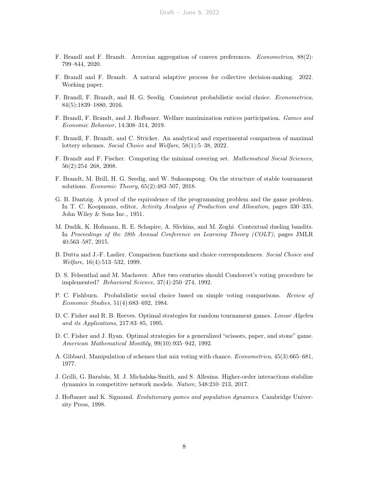- <span id="page-7-10"></span>F. Brandl and F. Brandt. Arrovian aggregation of convex preferences. Econometrica, 88(2): 799–844, 2020.
- <span id="page-7-2"></span>F. Brandl and F. Brandt. A natural adaptive process for collective decision-making. 2022. Working paper.
- <span id="page-7-0"></span>F. Brandl, F. Brandt, and H. G. Seedig. Consistent probabilistic social choice. Econometrica, 84(5):1839–1880, 2016.
- <span id="page-7-11"></span>F. Brandl, F. Brandt, and J. Hofbauer. Welfare maximization entices participation. Games and Economic Behavior, 14:308–314, 2019.
- <span id="page-7-9"></span>F. Brandl, F. Brandt, and C. Stricker. An analytical and experimental comparison of maximal lottery schemes. Social Choice and Welfare, 58(1):5–38, 2022.
- <span id="page-7-14"></span>F. Brandt and F. Fischer. Computing the minimal covering set. Mathematical Social Sciences, 56(2):254–268, 2008.
- <span id="page-7-12"></span>F. Brandt, M. Brill, H. G. Seedig, and W. Suksompong. On the structure of stable tournament solutions. Economic Theory, 65(2):483–507, 2018.
- <span id="page-7-13"></span>G. B. Dantzig. A proof of the equivalence of the programming problem and the game problem. In T. C. Koopmans, editor, Activity Analysis of Production and Allocation, pages 330–335. John Wiley & Sons Inc., 1951.
- <span id="page-7-1"></span>M. Dudík, K. Hofmann, R. E. Schapire, A. Slivkins, and M. Zoghi. Contextual dueling bandits. In Proceedings of the 28th Annual Conference on Learning Theory (COLT), pages JMLR 40:563–587, 2015.
- <span id="page-7-5"></span>B. Dutta and J.-F. Laslier. Comparison functions and choice correspondences. Social Choice and Welfare, 16(4):513–532, 1999.
- <span id="page-7-6"></span>D. S. Felsenthal and M. Machover. After two centuries should Condorcet's voting procedure be implemented? Behavioral Science, 37(4):250–274, 1992.
- <span id="page-7-4"></span>P. C. Fishburn. Probabilistic social choice based on simple voting comparisons. Review of Economic Studies, 51(4):683–692, 1984.
- <span id="page-7-8"></span>D. C. Fisher and R. B. Reeves. Optimal strategies for random tournament games. Linear Algebra and its Applications, 217:83–85, 1995.
- <span id="page-7-7"></span>D. C. Fisher and J. Ryan. Optimal strategies for a generalized "scissors, paper, and stone" game. American Mathematical Monthly, 99(10):935–942, 1992.
- <span id="page-7-15"></span>A. Gibbard. Manipulation of schemes that mix voting with chance. Econometrica, 45(3):665–681, 1977.
- <span id="page-7-3"></span>J. Grilli, G. Barabás, M. J. Michalska-Smith, and S. Allesina. Higher-order interactions stabilize dynamics in competitive network models. Nature, 548:210–213, 2017.
- <span id="page-7-16"></span>J. Hofbauer and K. Sigmund. Evolutionary games and population dynamics. Cambridge University Press, 1998.